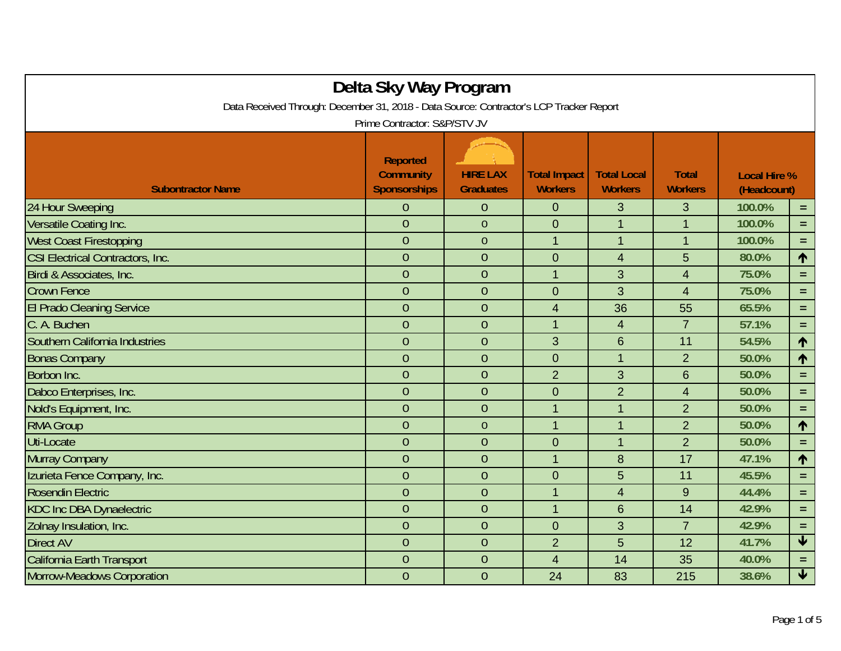| Delta Sky Way Program                                                                   |                                                            |                                     |                                       |                                      |                                |                                    |                         |  |  |
|-----------------------------------------------------------------------------------------|------------------------------------------------------------|-------------------------------------|---------------------------------------|--------------------------------------|--------------------------------|------------------------------------|-------------------------|--|--|
| Data Received Through: December 31, 2018 - Data Source: Contractor's LCP Tracker Report |                                                            |                                     |                                       |                                      |                                |                                    |                         |  |  |
| Prime Contractor: S&P/STV JV                                                            |                                                            |                                     |                                       |                                      |                                |                                    |                         |  |  |
| <b>Subontractor Name</b>                                                                | <b>Reported</b><br><b>Community</b><br><b>Sponsorships</b> | <b>HIRE LAX</b><br><b>Graduates</b> | <b>Total Impact</b><br><b>Workers</b> | <b>Total Local</b><br><b>Workers</b> | <b>Total</b><br><b>Workers</b> | <b>Local Hire %</b><br>(Headcount) |                         |  |  |
| 24 Hour Sweeping                                                                        | $\overline{0}$                                             | $\overline{0}$                      | $\overline{0}$                        | 3                                    | 3                              | 100.0%                             | $\equiv$                |  |  |
| Versatile Coating Inc.                                                                  | $\overline{0}$                                             | $\mathbf{0}$                        | $\mathbf 0$                           | $\mathbf{1}$                         | $\mathbf{1}$                   | 100.0%                             | $=$                     |  |  |
| <b>West Coast Firestopping</b>                                                          | $\overline{0}$                                             | $\overline{0}$                      | $\mathbf{1}$                          | $\mathbf{1}$                         | $\mathbf 1$                    | 100.0%                             | $\equiv$                |  |  |
| <b>CSI Electrical Contractors, Inc.</b>                                                 | $\overline{0}$                                             | $\overline{0}$                      | $\overline{0}$                        | $\overline{4}$                       | 5                              | 80.0%                              | 1                       |  |  |
| Birdi & Associates, Inc.                                                                | $\overline{0}$                                             | $\overline{0}$                      | $\mathbf{1}$                          | 3                                    | $\overline{4}$                 | 75.0%                              | $=$                     |  |  |
| <b>Crown Fence</b>                                                                      | $\overline{0}$                                             | $\overline{0}$                      | $\overline{0}$                        | 3                                    | $\overline{4}$                 | 75.0%                              | $=$                     |  |  |
| <b>El Prado Cleaning Service</b>                                                        | $\overline{0}$                                             | $\overline{0}$                      | $\overline{4}$                        | 36                                   | 55                             | 65.5%                              | $\equiv$                |  |  |
| C. A. Buchen                                                                            | $\overline{0}$                                             | $\overline{0}$                      | $\overline{1}$                        | $\overline{\mathbf{4}}$              | $\overline{7}$                 | 57.1%                              | $\equiv$                |  |  |
| Southern California Industries                                                          | $\overline{0}$                                             | $\overline{0}$                      | 3                                     | 6                                    | 11                             | 54.5%                              | 个                       |  |  |
| <b>Bonas Company</b>                                                                    | $\overline{0}$                                             | $\overline{0}$                      | $\overline{0}$                        | $\mathbf{1}$                         | $\overline{2}$                 | 50.0%                              | 1                       |  |  |
| Borbon Inc.                                                                             | $\overline{0}$                                             | $\overline{0}$                      | $\overline{2}$                        | 3                                    | $6\phantom{1}6$                | 50.0%                              | $=$                     |  |  |
| Dabco Enterprises, Inc.                                                                 | $\overline{0}$                                             | $\overline{0}$                      | $\mathbf 0$                           | $\overline{2}$                       | $\overline{4}$                 | 50.0%                              | $\equiv$                |  |  |
| Nold's Equipment, Inc.                                                                  | $\overline{0}$                                             | $\overline{0}$                      | $\mathbf{1}$                          | $\mathbf{1}$                         | $\overline{2}$                 | 50.0%                              | $=$                     |  |  |
| <b>RMA Group</b>                                                                        | $\overline{0}$                                             | $\overline{0}$                      | $\mathbf{1}$                          | $\mathbf{1}$                         | $\overline{2}$                 | 50.0%                              | 个                       |  |  |
| Uti-Locate                                                                              | $\overline{0}$                                             | $\overline{0}$                      | $\overline{0}$                        | $\mathbf{1}$                         | $\overline{2}$                 | 50.0%                              | $=$                     |  |  |
| Murray Company                                                                          | $\overline{0}$                                             | $\overline{0}$                      | $\overline{1}$                        | 8                                    | 17                             | 47.1%                              | 个                       |  |  |
| Izurieta Fence Company, Inc.                                                            | $\overline{0}$                                             | $\overline{0}$                      | $\overline{0}$                        | 5                                    | 11                             | 45.5%                              | $\equiv$                |  |  |
| <b>Rosendin Electric</b>                                                                | $\overline{0}$                                             | $\overline{0}$                      | $\mathbf{1}$                          | 4                                    | 9                              | 44.4%                              | $=$                     |  |  |
| <b>KDC Inc DBA Dynaelectric</b>                                                         | $\overline{0}$                                             | $\overline{0}$                      | $\overline{1}$                        | 6                                    | 14                             | 42.9%                              | $=$                     |  |  |
| Zolnay Insulation, Inc.                                                                 | $\overline{0}$                                             | $\overline{0}$                      | $\overline{0}$                        | 3                                    | $\overline{7}$                 | 42.9%                              | $\equiv$                |  |  |
| <b>Direct AV</b>                                                                        | $\overline{0}$                                             | $\overline{0}$                      | $\overline{2}$                        | 5                                    | 12                             | 41.7%                              | $\overline{\textbf{V}}$ |  |  |
| <b>California Earth Transport</b>                                                       | $\overline{0}$                                             | $\overline{0}$                      | $\overline{4}$                        | 14                                   | 35                             | 40.0%                              | $=$                     |  |  |
| <b>Morrow-Meadows Corporation</b>                                                       | $\overline{0}$                                             | $\overline{0}$                      | 24                                    | 83                                   | 215                            | 38.6%                              | $\overline{\textbf{t}}$ |  |  |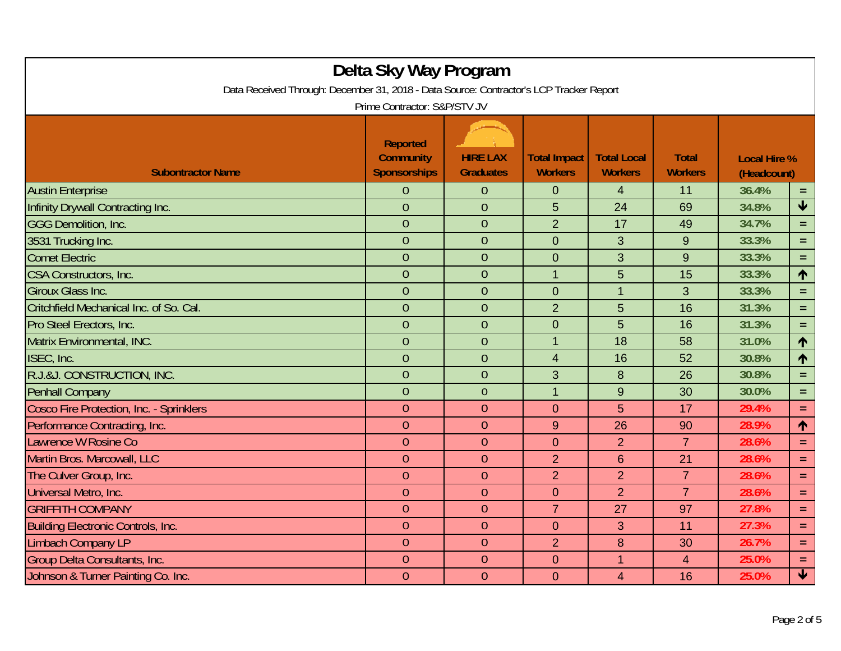| Delta Sky Way Program<br>Data Received Through: December 31, 2018 - Data Source: Contractor's LCP Tracker Report<br>Prime Contractor: S&P/STV JV |                                                            |                                     |                                       |                                      |                                |                                    |                         |  |  |
|--------------------------------------------------------------------------------------------------------------------------------------------------|------------------------------------------------------------|-------------------------------------|---------------------------------------|--------------------------------------|--------------------------------|------------------------------------|-------------------------|--|--|
| <b>Subontractor Name</b>                                                                                                                         | <b>Reported</b><br><b>Community</b><br><b>Sponsorships</b> | <b>HIRE LAX</b><br><b>Graduates</b> | <b>Total Impact</b><br><b>Workers</b> | <b>Total Local</b><br><b>Workers</b> | <b>Total</b><br><b>Workers</b> | <b>Local Hire %</b><br>(Headcount) |                         |  |  |
| <b>Austin Enterprise</b>                                                                                                                         | 0                                                          | $\theta$                            | $\mathbf 0$                           | $\overline{4}$                       | 11                             | 36.4%                              | $=$ .                   |  |  |
| Infinity Drywall Contracting Inc.                                                                                                                | $\overline{0}$                                             | $\overline{0}$                      | 5                                     | 24                                   | 69                             | 34.8%                              | $\blacklozenge$         |  |  |
| <b>GGG Demolition, Inc.</b>                                                                                                                      | $\overline{0}$                                             | $\overline{0}$                      | $\overline{2}$                        | 17                                   | 49                             | 34.7%                              | $=$                     |  |  |
| 3531 Trucking Inc.                                                                                                                               | $\overline{0}$                                             | $\theta$                            | $\mathbf 0$                           | 3                                    | 9                              | 33.3%                              | $=$                     |  |  |
| <b>Comet Electric</b>                                                                                                                            | $\overline{0}$                                             | $\overline{0}$                      | $\mathbf 0$                           | 3                                    | 9                              | 33.3%                              | $\equiv$                |  |  |
| CSA Constructors, Inc.                                                                                                                           | $\overline{0}$                                             | $\overline{0}$                      | $\mathbf{1}$                          | 5                                    | 15                             | 33.3%                              | $\uparrow$              |  |  |
| <b>Giroux Glass Inc.</b>                                                                                                                         | $\overline{0}$                                             | $\overline{0}$                      | $\mathbf 0$                           | $\mathbf 1$                          | 3                              | 33.3%                              | $\equiv$                |  |  |
| Critchfield Mechanical Inc. of So. Cal.                                                                                                          | $\overline{0}$                                             | $\theta$                            | $\overline{2}$                        | 5                                    | 16                             | 31.3%                              | $=$ $\,$                |  |  |
| Pro Steel Erectors, Inc.                                                                                                                         | $\overline{0}$                                             | $\theta$                            | $\mathbf 0$                           | 5                                    | 16                             | 31.3%                              | $=$                     |  |  |
| Matrix Environmental, INC.                                                                                                                       | $\overline{0}$                                             | $\theta$                            | $\overline{1}$                        | 18                                   | 58                             | 31.0%                              | $\uparrow$              |  |  |
| ISEC, Inc.                                                                                                                                       | $\overline{0}$                                             | $\overline{0}$                      | $\overline{4}$                        | 16                                   | 52                             | 30.8%                              | $\uparrow$              |  |  |
| R.J.&J. CONSTRUCTION, INC.                                                                                                                       | $\overline{0}$                                             | $\theta$                            | 3                                     | 8                                    | 26                             | 30.8%                              | $=$                     |  |  |
| <b>Penhall Company</b>                                                                                                                           | $\overline{0}$                                             | $\overline{0}$                      | $\overline{1}$                        | 9                                    | 30                             | 30.0%                              | $=$                     |  |  |
| Cosco Fire Protection, Inc. - Sprinklers                                                                                                         | $\theta$                                                   | $\theta$                            | $\overline{0}$                        | 5                                    | 17                             | 29.4%                              | $=$                     |  |  |
| Performance Contracting, Inc.                                                                                                                    | $\theta$                                                   | $\overline{0}$                      | $\boldsymbol{9}$                      | 26                                   | 90                             | 28.9%                              | 个                       |  |  |
| Lawrence W Rosine Co                                                                                                                             | $\overline{0}$                                             | $\theta$                            | $\overline{0}$                        | $\overline{2}$                       | $\overline{7}$                 | 28.6%                              | $=$                     |  |  |
| Martin Bros. Marcowall, LLC                                                                                                                      | $\overline{0}$                                             | $\overline{0}$                      | $\overline{2}$                        | $6\phantom{1}$                       | 21                             | 28.6%                              | $\equiv$                |  |  |
| The Culver Group, Inc.                                                                                                                           | $\overline{0}$                                             | $\theta$                            | $\overline{2}$                        | $\overline{2}$                       | $\overline{7}$                 | 28.6%                              | $=$                     |  |  |
| Universal Metro, Inc.                                                                                                                            | $\theta$                                                   | $\overline{0}$                      | $\overline{0}$                        | $\overline{2}$                       | $\overline{7}$                 | 28.6%                              | $=$                     |  |  |
| <b>GRIFFITH COMPANY</b>                                                                                                                          | $\overline{0}$                                             | $\overline{0}$                      | $\overline{7}$                        | 27                                   | 97                             | 27.8%                              | $\equiv$                |  |  |
| Building Electronic Controls, Inc.                                                                                                               | $\theta$                                                   | $\theta$                            | $\mathbf 0$                           | 3                                    | 11                             | 27.3%                              | $=$                     |  |  |
| <b>Limbach Company LP</b>                                                                                                                        | $\theta$                                                   | $\theta$                            | $\overline{2}$                        | 8                                    | 30                             | 26.7%                              | $=$ .                   |  |  |
| Group Delta Consultants, Inc.                                                                                                                    | $\overline{0}$                                             | $\theta$                            | $\overline{0}$                        | 1                                    | 4                              | 25.0%                              | $\equiv$                |  |  |
| Johnson & Turner Painting Co. Inc.                                                                                                               | $\overline{0}$                                             | $\overline{0}$                      | $\overline{0}$                        | 4                                    | 16                             | 25.0%                              | $\overline{\textbf{v}}$ |  |  |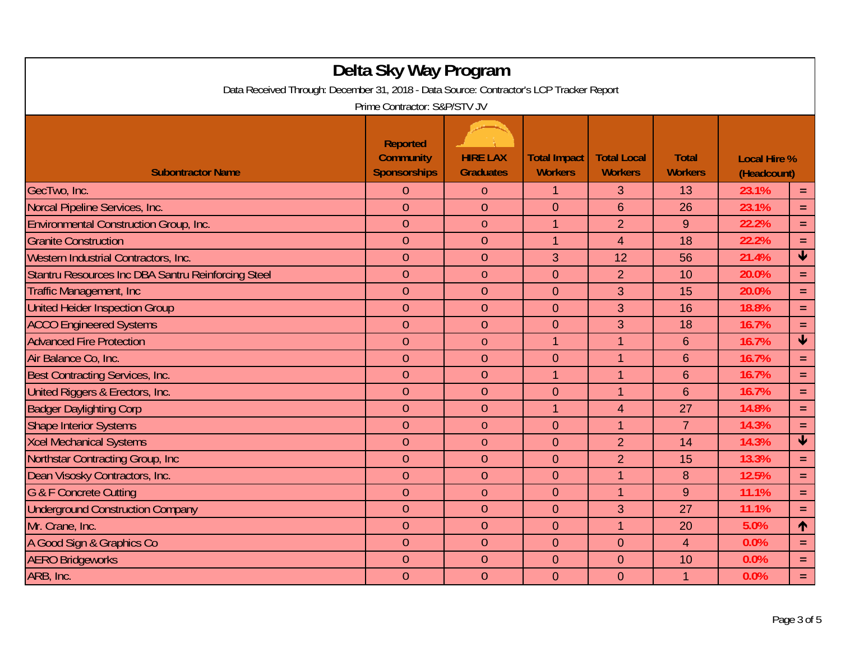| Delta Sky Way Program<br>Data Received Through: December 31, 2018 - Data Source: Contractor's LCP Tracker Report<br>Prime Contractor: S&P/STV JV |                                                            |                                     |                                       |                                      |                                |                                    |                         |  |
|--------------------------------------------------------------------------------------------------------------------------------------------------|------------------------------------------------------------|-------------------------------------|---------------------------------------|--------------------------------------|--------------------------------|------------------------------------|-------------------------|--|
| <b>Subontractor Name</b>                                                                                                                         | <b>Reported</b><br><b>Community</b><br><b>Sponsorships</b> | <b>HIRE LAX</b><br><b>Graduates</b> | <b>Total Impact</b><br><b>Workers</b> | <b>Total Local</b><br><b>Workers</b> | <b>Total</b><br><b>Workers</b> | <b>Local Hire %</b><br>(Headcount) |                         |  |
| GecTwo, Inc.                                                                                                                                     | 0                                                          | $\overline{0}$                      | $\mathbf{1}$                          | 3                                    | 13                             | 23.1%                              | $=$                     |  |
| Norcal Pipeline Services, Inc.                                                                                                                   | $\overline{0}$                                             | $\overline{0}$                      | $\overline{0}$                        | 6                                    | 26                             | 23.1%                              | $=$                     |  |
| <b>Environmental Construction Group, Inc.</b>                                                                                                    | $\overline{0}$                                             | $\theta$                            | $\mathbf{1}$                          | $\overline{2}$                       | 9                              | 22.2%                              | $\equiv$                |  |
| <b>Granite Construction</b>                                                                                                                      | $\theta$                                                   | $\theta$                            | $\mathbf{1}$                          | $\overline{4}$                       | 18                             | 22.2%                              | $=$ .                   |  |
| Western Industrial Contractors, Inc.                                                                                                             | $\overline{0}$                                             | $\overline{0}$                      | 3                                     | 12                                   | 56                             | 21.4%                              | $\blacklozenge$         |  |
| Stantru Resources Inc DBA Santru Reinforcing Steel                                                                                               | $\overline{0}$                                             | $\theta$                            | $\overline{0}$                        | $\overline{2}$                       | 10                             | 20.0%                              | $\equiv$                |  |
| <b>Traffic Management, Inc.</b>                                                                                                                  | $\overline{0}$                                             | $\theta$                            | $\overline{0}$                        | 3                                    | 15                             | 20.0%                              | $=$                     |  |
| <b>United Heider Inspection Group</b>                                                                                                            | $\overline{0}$                                             | $\overline{0}$                      | $\overline{0}$                        | 3                                    | 16                             | 18.8%                              | $=$                     |  |
| <b>ACCO Engineered Systems</b>                                                                                                                   | $\overline{0}$                                             | $\theta$                            | $\overline{0}$                        | 3                                    | 18                             | 16.7%                              | $=$                     |  |
| <b>Advanced Fire Protection</b>                                                                                                                  | $\theta$                                                   | $\boldsymbol{0}$                    | $\mathbf{1}$                          | 1                                    | $6\phantom{1}6$                | 16.7%                              | $\blacklozenge$         |  |
| Air Balance Co. Inc.                                                                                                                             | $\overline{0}$                                             | $\overline{0}$                      | $\overline{0}$                        | $\mathbf{1}$                         | $6\phantom{1}6$                | 16.7%                              | $=$                     |  |
| Best Contracting Services, Inc.                                                                                                                  | $\overline{0}$                                             | $\overline{0}$                      | $\overline{1}$                        | $\mathbf{1}$                         | $6\phantom{1}6$                | 16.7%                              | $\equiv$                |  |
| United Riggers & Erectors, Inc.                                                                                                                  | $\overline{0}$                                             | $\overline{0}$                      | $\mathbf 0$                           | $\overline{1}$                       | $6\phantom{1}6$                | 16.7%                              | $=$                     |  |
| <b>Badger Daylighting Corp</b>                                                                                                                   | $\overline{0}$                                             | $\theta$                            | $\mathbf{1}$                          | $\overline{4}$                       | 27                             | 14.8%                              | $\equiv$                |  |
| <b>Shape Interior Systems</b>                                                                                                                    | $\theta$                                                   | $\theta$                            | $\mathbf 0$                           | $\mathbf{1}$                         | $\overline{7}$                 | 14.3%                              | $=$                     |  |
| <b>Xcel Mechanical Systems</b>                                                                                                                   | $\overline{0}$                                             | $\theta$                            | $\mathbf{0}$                          | $\overline{2}$                       | 14                             | 14.3%                              | $\overline{\textbf{v}}$ |  |
| Northstar Contracting Group, Inc.                                                                                                                | $\overline{0}$                                             | $\theta$                            | $\overline{0}$                        | $\overline{2}$                       | 15                             | 13.3%                              | $\equiv$                |  |
| Dean Visosky Contractors, Inc.                                                                                                                   | $\overline{0}$                                             | $\theta$                            | $\overline{0}$                        | $\mathbf{1}$                         | 8                              | 12.5%                              | $=$                     |  |
| <b>G &amp; F Concrete Cutting</b>                                                                                                                | $\theta$                                                   | $\theta$                            | $\mathbf 0$                           | $\mathbf{1}$                         | 9                              | 11.1%                              | $=$                     |  |
| <b>Underground Construction Company</b>                                                                                                          | $\overline{0}$                                             | $\theta$                            | $\overline{0}$                        | 3                                    | 27                             | 11.1%                              | $=$                     |  |
| Mr. Crane, Inc.                                                                                                                                  | $\overline{0}$                                             | $\theta$                            | $\mathbf 0$                           | $\overline{1}$                       | 20                             | 5.0%                               | $\uparrow$              |  |
| A Good Sign & Graphics Co                                                                                                                        | $\theta$                                                   | $\theta$                            | $\overline{0}$                        | $\overline{0}$                       | $\overline{4}$                 | 0.0%                               | $=$                     |  |
| <b>AERO Bridgeworks</b>                                                                                                                          | $\overline{0}$                                             | $\theta$                            | $\overline{0}$                        | $\overline{0}$                       | 10                             | 0.0%                               | $=$                     |  |
| ARB, Inc.                                                                                                                                        | $\overline{0}$                                             | $\overline{0}$                      | $\overline{0}$                        | $\overline{0}$                       | 1                              | 0.0%                               | $=$                     |  |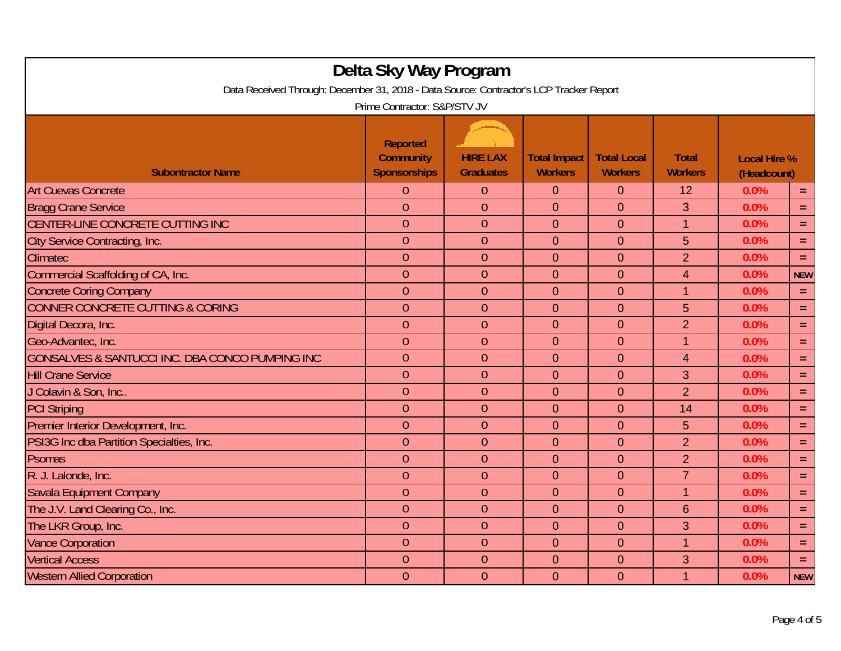| Delta Sky Way Program<br>Data Received Through: December 31, 2018 - Data Source: Contractor's LCP Tracker Report<br>Prime Contractor: S&P/STV JV |                                                     |                                     |                                       |                                      |                                |                                    |            |  |  |
|--------------------------------------------------------------------------------------------------------------------------------------------------|-----------------------------------------------------|-------------------------------------|---------------------------------------|--------------------------------------|--------------------------------|------------------------------------|------------|--|--|
| <b>Subontractor Name</b>                                                                                                                         | <b>Reported</b><br><b>Community</b><br>Sponsorships | <b>HIRE LAX</b><br><b>Graduates</b> | <b>Total Impact</b><br><b>Workers</b> | <b>Total Local</b><br><b>Workers</b> | <b>Total</b><br><b>Workers</b> | <b>Local Hire %</b><br>(Headcount) |            |  |  |
| <b>Art Cuevas Concrete</b>                                                                                                                       | $\Omega$                                            | $\overline{0}$                      | $\overline{0}$                        | $\overline{0}$                       | 12                             | 0.0%                               | $\equiv$   |  |  |
| <b>Bragg Crane Service</b>                                                                                                                       | $\overline{0}$                                      | $\overline{0}$                      | $\overline{0}$                        | $\Omega$                             | 3                              | 0.0%                               | $\equiv$   |  |  |
| CENTER-LINE CONCRETE CUTTING INC                                                                                                                 | $\overline{0}$                                      | $\overline{0}$                      | $\mathbf 0$                           | $\theta$                             | $\mathbf 1$                    | 0.0%                               | $\equiv$   |  |  |
| City Service Contracting, Inc.                                                                                                                   | $\overline{0}$                                      | $\overline{0}$                      | $\mathbf 0$                           | $\theta$                             | 5                              | 0.0%                               | $\equiv$   |  |  |
| Climatec                                                                                                                                         | $\overline{0}$                                      | $\overline{0}$                      | $\overline{0}$                        | $\overline{0}$                       | $\overline{2}$                 | 0.0%                               | $\equiv$   |  |  |
| Commercial Scaffolding of CA, Inc.                                                                                                               | $\overline{0}$                                      | $\overline{0}$                      | $\overline{0}$                        | $\overline{0}$                       | $\overline{4}$                 | 0.0%                               | <b>NEW</b> |  |  |
| <b>Concrete Coring Company</b>                                                                                                                   | $\overline{0}$                                      | $\overline{0}$                      | $\overline{0}$                        | $\overline{0}$                       | 1                              | 0.0%                               | $\equiv$   |  |  |
| <b>CONNER CONCRETE CUTTING &amp; CORING</b>                                                                                                      | $\overline{0}$                                      | $\overline{0}$                      | $\overline{0}$                        | $\overline{0}$                       | 5                              | 0.0%                               | $\equiv$   |  |  |
| Digital Decora, Inc.                                                                                                                             | $\overline{0}$                                      | $\theta$                            | $\mathbf 0$                           | $\theta$                             | $\overline{2}$                 | 0.0%                               | $\equiv$   |  |  |
| Geo-Advantec, Inc.                                                                                                                               | $\overline{0}$                                      | $\overline{0}$                      | $\overline{0}$                        | $\overline{0}$                       | $\mathbf 1$                    | 0.0%                               | $\equiv$   |  |  |
| GONSALVES & SANTUCCI INC. DBA CONCO PUMPING INC                                                                                                  | $\overline{0}$                                      | $\overline{0}$                      | $\overline{0}$                        | $\overline{0}$                       | $\overline{4}$                 | 0.0%                               | $\equiv$   |  |  |
| <b>Hill Crane Service</b>                                                                                                                        | $\overline{0}$                                      | $\overline{0}$                      | $\mathbf 0$                           | $\overline{0}$                       | 3                              | 0.0%                               | $\equiv$   |  |  |
| J Colavin & Son, Inc                                                                                                                             | $\overline{0}$                                      | $\overline{0}$                      | $\overline{0}$                        | $\Omega$                             | $\overline{2}$                 | 0.0%                               | $\equiv$   |  |  |
| <b>PCI Striping</b>                                                                                                                              | $\overline{0}$                                      | $\overline{0}$                      | $\overline{0}$                        | $\overline{0}$                       | 14                             | 0.0%                               | $\equiv$   |  |  |
| Premier Interior Development, Inc.                                                                                                               | $\overline{0}$                                      | $\theta$                            | $\mathbf 0$                           | $\theta$                             | 5                              | 0.0%                               | $\equiv$   |  |  |
| PSI3G Inc dba Partition Specialties, Inc.                                                                                                        | $\overline{0}$                                      | $\overline{0}$                      | $\overline{0}$                        | $\overline{0}$                       | $\overline{2}$                 | 0.0%                               | $\equiv$   |  |  |
| Psomas                                                                                                                                           | $\overline{0}$                                      | $\overline{0}$                      | $\overline{0}$                        | $\overline{0}$                       | $\overline{2}$                 | 0.0%                               | $\equiv$   |  |  |
| R. J. Lalonde, Inc.                                                                                                                              | $\overline{0}$                                      | $\overline{0}$                      | $\overline{0}$                        | $\overline{0}$                       | $\overline{7}$                 | 0.0%                               | $\equiv$   |  |  |
| Savala Equipment Company                                                                                                                         | $\overline{0}$                                      | $\overline{0}$                      | $\overline{0}$                        | $\Omega$                             | $\mathbf 1$                    | 0.0%                               | $\equiv$   |  |  |
| The J.V. Land Clearing Co., Inc.                                                                                                                 | $\overline{0}$                                      | $\overline{0}$                      | $\overline{0}$                        | $\overline{0}$                       | $6\phantom{1}$                 | 0.0%                               | $\equiv$   |  |  |
| The LKR Group, Inc.                                                                                                                              | $\overline{0}$                                      | $\overline{0}$                      | $\mathbf 0$                           | $\overline{0}$                       | 3                              | 0.0%                               | $\equiv$   |  |  |
| <b>Vance Corporation</b>                                                                                                                         | $\overline{0}$                                      | $\overline{0}$                      | $\mathbf 0$                           | $\overline{0}$                       | $\overline{1}$                 | 0.0%                               | $\equiv$   |  |  |
| <b>Vertical Access</b>                                                                                                                           | $\overline{0}$                                      | $\overline{0}$                      | $\overline{0}$                        | $\overline{0}$                       | 3                              | 0.0%                               | $\equiv$   |  |  |
| <b>Western Allied Corporation</b>                                                                                                                | $\overline{0}$                                      | $\overline{0}$                      | $\overline{0}$                        | $\overline{0}$                       | 1                              | 0.0%                               | <b>NEW</b> |  |  |